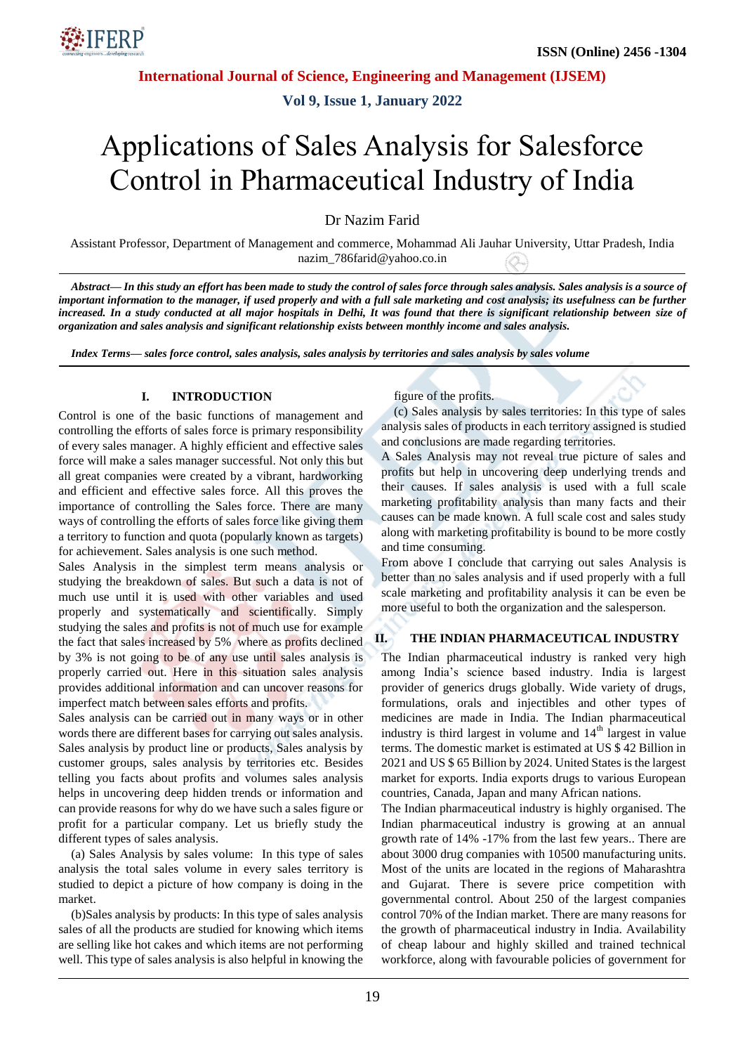

**Vol 9, Issue 1, January 2022**

# Applications of Sales Analysis for Salesforce Control in Pharmaceutical Industry of India

Dr Nazim Farid

Assistant Professor, Department of Management and commerce, Mohammad Ali Jauhar University, Uttar Pradesh, India nazim\_786farid@yahoo.co.in

*Abstract— In this study an effort has been made to study the control of sales force through sales analysis. Sales analysis is a source of important information to the manager, if used properly and with a full sale marketing and cost analysis; its usefulness can be further increased. In a study conducted at all major hospitals in Delhi, It was found that there is significant relationship between size of organization and sales analysis and significant relationship exists between monthly income and sales analysis.*

*Index Terms— sales force control, sales analysis, sales analysis by territories and sales analysis by sales volume*

#### **I. INTRODUCTION**

Control is one of the basic functions of management and controlling the efforts of sales force is primary responsibility of every sales manager. A highly efficient and effective sales force will make a sales manager successful. Not only this but all great companies were created by a vibrant, hardworking and efficient and effective sales force. All this proves the importance of controlling the Sales force. There are many ways of controlling the efforts of sales force like giving them a territory to function and quota (popularly known as targets) for achievement. Sales analysis is one such method.

Sales Analysis in the simplest term means analysis or studying the breakdown of sales. But such a data is not of much use until it is used with other variables and used properly and systematically and scientifically. Simply studying the sales and profits is not of much use for example the fact that sales increased by 5% where as profits declined by 3% is not going to be of any use until sales analysis is properly carried out. Here in this situation sales analysis provides additional information and can uncover reasons for imperfect match between sales efforts and profits.

Sales analysis can be carried out in many ways or in other words there are different bases for carrying out sales analysis. Sales analysis by product line or products, Sales analysis by customer groups, sales analysis by territories etc. Besides telling you facts about profits and volumes sales analysis helps in uncovering deep hidden trends or information and can provide reasons for why do we have such a sales figure or profit for a particular company. Let us briefly study the different types of sales analysis.

(a) Sales Analysis by sales volume: In this type of sales analysis the total sales volume in every sales territory is studied to depict a picture of how company is doing in the market.

(b)Sales analysis by products: In this type of sales analysis sales of all the products are studied for knowing which items are selling like hot cakes and which items are not performing well. This type of sales analysis is also helpful in knowing the figure of the profits.

(c) Sales analysis by sales territories: In this type of sales analysis sales of products in each territory assigned is studied and conclusions are made regarding territories.

A Sales Analysis may not reveal true picture of sales and profits but help in uncovering deep underlying trends and their causes. If sales analysis is used with a full scale marketing profitability analysis than many facts and their causes can be made known. A full scale cost and sales study along with marketing profitability is bound to be more costly and time consuming.

From above I conclude that carrying out sales Analysis is better than no sales analysis and if used properly with a full scale marketing and profitability analysis it can be even be more useful to both the organization and the salesperson.

#### **II. THE INDIAN PHARMACEUTICAL INDUSTRY**

The Indian pharmaceutical industry is ranked very high among India's science based industry. India is largest provider of generics drugs globally. Wide variety of drugs, formulations, orals and injectibles and other types of medicines are made in India. The Indian pharmaceutical industry is third largest in volume and  $14<sup>th</sup>$  largest in value terms. The domestic market is estimated at US \$ 42 Billion in 2021 and US \$ 65 Billion by 2024. United States is the largest market for exports. India exports drugs to various European countries, Canada, Japan and many African nations.

The Indian pharmaceutical industry is highly organised. The Indian pharmaceutical industry is growing at an annual growth rate of 14% -17% from the last few years.. There are about 3000 drug companies with 10500 manufacturing units. Most of the units are located in the regions of Maharashtra and Gujarat. There is severe price competition with governmental control. About 250 of the largest companies control 70% of the Indian market. There are many reasons for the growth of pharmaceutical industry in India. Availability of cheap labour and highly skilled and trained technical workforce, along with favourable policies of government for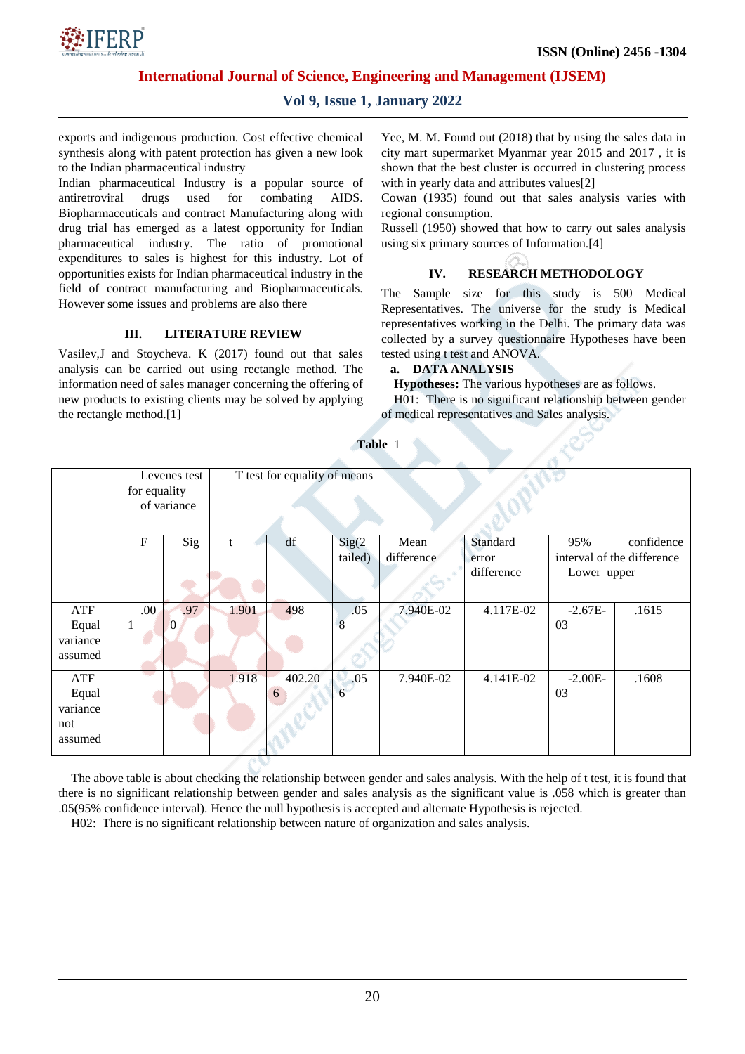

## **Vol 9, Issue 1, January 2022**

exports and indigenous production. Cost effective chemical synthesis along with patent protection has given a new look to the Indian pharmaceutical industry

Indian pharmaceutical Industry is a popular source of antiretroviral drugs used for combating AIDS. Biopharmaceuticals and contract Manufacturing along with drug trial has emerged as a latest opportunity for Indian pharmaceutical industry. The ratio of promotional expenditures to sales is highest for this industry. Lot of opportunities exists for Indian pharmaceutical industry in the field of contract manufacturing and Biopharmaceuticals. However some issues and problems are also there

#### **III. LITERATURE REVIEW**

Vasilev,J and Stoycheva. K (2017) found out that sales analysis can be carried out using rectangle method. The information need of sales manager concerning the offering of new products to existing clients may be solved by applying the rectangle method.[1]

Yee, M. M. Found out (2018) that by using the sales data in city mart supermarket Myanmar year 2015 and 2017 , it is shown that the best cluster is occurred in clustering process with in yearly data and attributes values<sup>[2]</sup>

Cowan (1935) found out that sales analysis varies with regional consumption.

Russell (1950) showed that how to carry out sales analysis using six primary sources of Information.[4]

### **IV. RESEARCH METHODOLOGY**

The Sample size for this study is 500 Medical Representatives. The universe for the study is Medical representatives working in the Delhi. The primary data was collected by a survey questionnaire Hypotheses have been tested using t test and ANOVA.

#### **a. DATA ANALYSIS**

**Hypotheses:** The various hypotheses are as follows.

H01: There is no significant relationship between gender of medical representatives and Sales analysis.

|                                            | Levenes test<br>for equality<br>of variance |          |       | T test for equality of means |                        |                    |                                 |                    |                                          |
|--------------------------------------------|---------------------------------------------|----------|-------|------------------------------|------------------------|--------------------|---------------------------------|--------------------|------------------------------------------|
|                                            | $\mathbf F$                                 | Sig      |       | df                           | Sig(2)<br>tailed)      | Mean<br>difference | Standard<br>error<br>difference | 95%<br>Lower upper | confidence<br>interval of the difference |
| ATF                                        | .00.                                        | .97      | 1.901 | 498                          | .05                    | 7.940E-02          | 4.117E-02                       | $-2.67E-$          | .1615                                    |
| Equal<br>variance<br>assumed               | 1                                           | $\Omega$ |       |                              | 8                      |                    |                                 | 03                 |                                          |
| ATF<br>Equal<br>variance<br>not<br>assumed |                                             |          | 1.918 | 402.20<br>6                  | .05<br>$6\overline{6}$ | 7.940E-02          | 4.141E-02                       | $-2.00E-$<br>03    | .1608                                    |

**Table** 1

The above table is about checking the relationship between gender and sales analysis. With the help of t test, it is found that there is no significant relationship between gender and sales analysis as the significant value is .058 which is greater than .05(95% confidence interval). Hence the null hypothesis is accepted and alternate Hypothesis is rejected.

H02: There is no significant relationship between nature of organization and sales analysis.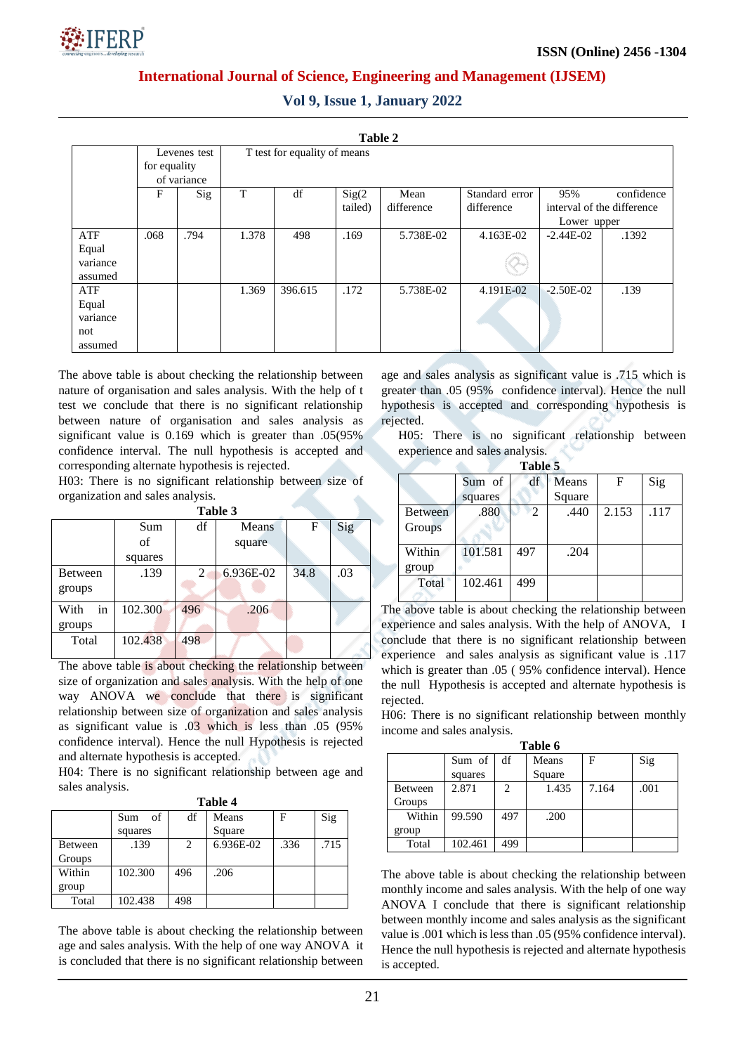

|  |  |  | <b>Vol 9, Issue 1, January 2022</b> |  |
|--|--|--|-------------------------------------|--|
|--|--|--|-------------------------------------|--|

| Table 2  |              |             |       |                              |         |            |                |                            |            |  |
|----------|--------------|-------------|-------|------------------------------|---------|------------|----------------|----------------------------|------------|--|
|          | Levenes test |             |       | T test for equality of means |         |            |                |                            |            |  |
|          | for equality |             |       |                              |         |            |                |                            |            |  |
|          |              | of variance |       |                              |         |            |                |                            |            |  |
|          | F            | Sig         | T     | df                           | Sig(2)  | Mean       | Standard error | 95%                        | confidence |  |
|          |              |             |       |                              | tailed) | difference | difference     | interval of the difference |            |  |
|          |              |             |       |                              |         |            |                | Lower upper                |            |  |
| ATF      | .068         | .794        | 1.378 | 498                          | .169    | 5.738E-02  | 4.163E-02      | $-2.44E-02$                | .1392      |  |
| Equal    |              |             |       |                              |         |            |                |                            |            |  |
| variance |              |             |       |                              |         |            |                |                            |            |  |
| assumed  |              |             |       |                              |         |            |                |                            |            |  |
| ATF      |              |             | 1.369 | 396.615                      | .172    | 5.738E-02  | 4.191E-02      | $-2.50E-02$                | .139       |  |
| Equal    |              |             |       |                              |         |            |                |                            |            |  |
| variance |              |             |       |                              |         |            |                |                            |            |  |
| not      |              |             |       |                              |         |            |                |                            |            |  |
| assumed  |              |             |       |                              |         |            |                |                            |            |  |

The above table is about checking the relationship between nature of organisation and sales analysis. With the help of t test we conclude that there is no significant relationship between nature of organisation and sales analysis as significant value is 0.169 which is greater than .05(95% confidence interval. The null hypothesis is accepted and corresponding alternate hypothesis is rejected.

H03: There is no significant relationship between size of organization and sales analysis.

| DI<br>16<br>п<br>н |  |
|--------------------|--|
|--------------------|--|

|            | Sum     | df  | Means     | F    | Sig |
|------------|---------|-----|-----------|------|-----|
|            | of      |     | square    |      |     |
|            | squares |     |           |      |     |
| Between    | .139    | 2   | 6.936E-02 | 34.8 | .03 |
| groups     |         |     |           |      |     |
| With<br>in | 102.300 | 496 | .206      |      |     |
| groups     |         |     |           |      |     |
| Total      | 102.438 | 498 |           |      |     |

The above table is about checking the relationship between size of organization and sales analysis. With the help of one way ANOVA we conclude that there is significant relationship between size of organization and sales analysis as significant value is .03 which is less than .05 (95% confidence interval). Hence the null Hypothesis is rejected and alternate hypothesis is accepted.

H04: There is no significant relationship between age and sales analysis.

| וחו<br>Я |  |  |
|----------|--|--|
|----------|--|--|

|         | of<br>Sum | df  | Means     | F    | Sig  |
|---------|-----------|-----|-----------|------|------|
|         | squares   |     | Square    |      |      |
| Between | .139      | 2   | 6.936E-02 | .336 | .715 |
| Groups  |           |     |           |      |      |
| Within  | 102.300   | 496 | .206      |      |      |
| group   |           |     |           |      |      |
| Total   | 102.438   | 498 |           |      |      |

The above table is about checking the relationship between age and sales analysis. With the help of one way ANOVA it is concluded that there is no significant relationship between

age and sales analysis as significant value is .715 which is greater than .05 (95% confidence interval). Hence the null hypothesis is accepted and corresponding hypothesis is rejected.

H05: There is no significant relationship between experience and sales analysis.

| able |  |
|------|--|
|      |  |

|                 | Sum of  | df  | Means  | F     | Sig  |
|-----------------|---------|-----|--------|-------|------|
|                 | squares |     | Square |       |      |
| <b>Between</b>  | .880    | 2   | .440   | 2.153 | .117 |
| Groups          |         |     |        |       |      |
| Within<br>group | 101.581 | 497 | .204   |       |      |
| Total           | 102.461 | 499 |        |       |      |

The above table is about checking the relationship between experience and sales analysis. With the help of ANOVA, I conclude that there is no significant relationship between experience and sales analysis as significant value is .117 which is greater than .05 ( 95% confidence interval). Hence the null Hypothesis is accepted and alternate hypothesis is rejected.

H06: There is no significant relationship between monthly income and sales analysis.

| Table 6        |         |     |        |       |      |  |  |  |  |
|----------------|---------|-----|--------|-------|------|--|--|--|--|
|                | Sum of  | df  | Means  | F     | Sig  |  |  |  |  |
|                | squares |     | Square |       |      |  |  |  |  |
| <b>Between</b> | 2.871   |     | 1.435  | 7.164 | .001 |  |  |  |  |
| Groups         |         |     |        |       |      |  |  |  |  |
| Within         | 99.590  | 497 | .200   |       |      |  |  |  |  |
| group          |         |     |        |       |      |  |  |  |  |
| Total          | 102.461 | 499 |        |       |      |  |  |  |  |

The above table is about checking the relationship between monthly income and sales analysis. With the help of one way ANOVA I conclude that there is significant relationship between monthly income and sales analysis as the significant value is .001 which is less than .05 (95% confidence interval). Hence the null hypothesis is rejected and alternate hypothesis is accepted.